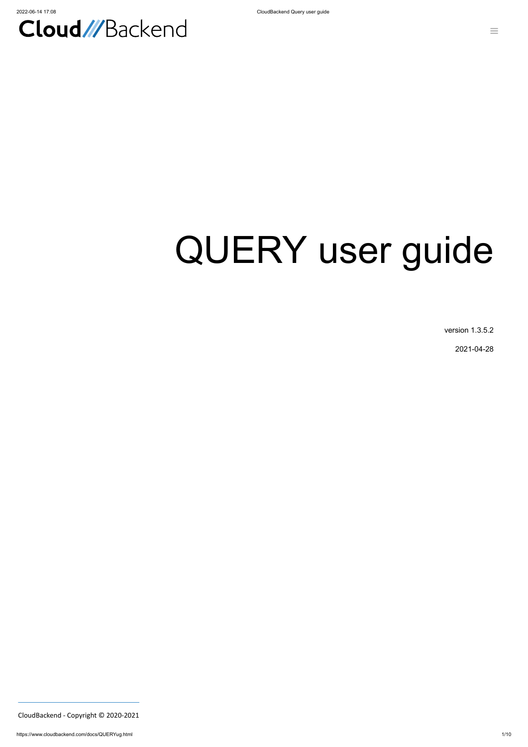

# QUERY user guide

version 1.3.5.2

2021-04-28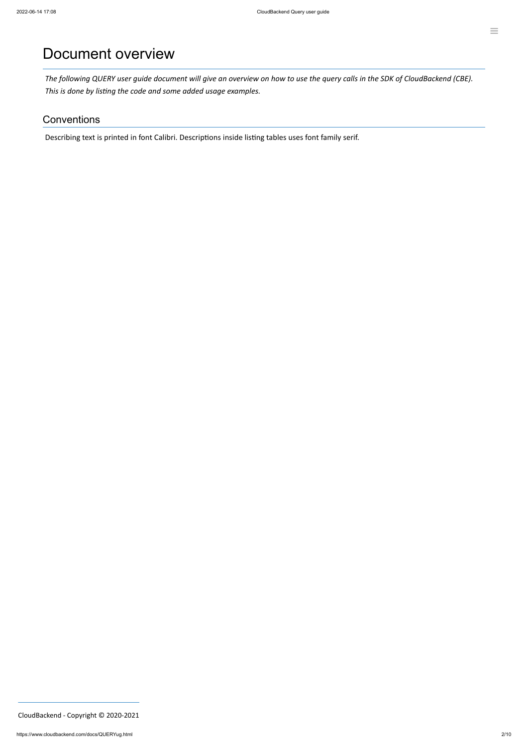### Document overview

The following QUERY user guide document will give an overview on how to use the query calls in the SDK of CloudBackend (CBE). *This is done by listing the code and some added usage examples.*

#### **Conventions**

Describing text is printed in font Calibri. Descriptions inside listing tables uses font family serif.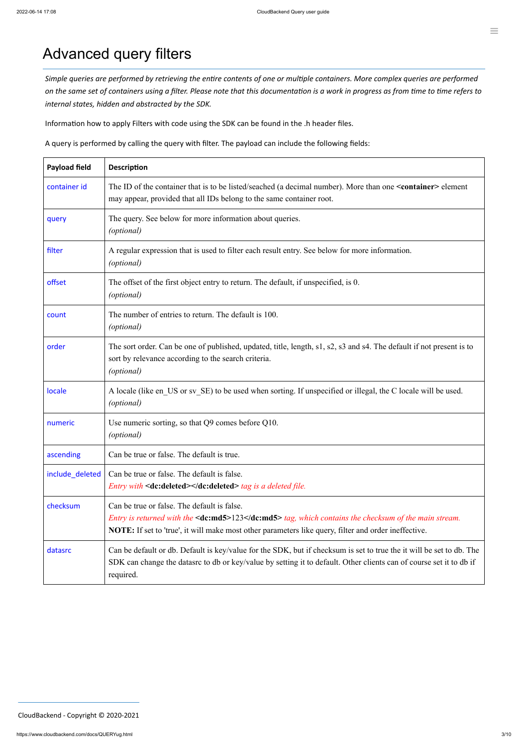# Advanced query filters

Simple queries are performed by retrieving the entire contents of one or multiple containers. More complex queries are performed on the same set of containers using a filter. Please note that this documentation is a work in progress as from time to time refers to *internal states, hidden and abstracted by the SDK.*

Information how to apply Filters with code using the SDK can be found in the .h header files.

A query is performed by calling the query with filter. The payload can include the following fields:

| <b>Payload field</b> | <b>Description</b>                                                                                                                                                                                                                                          |  |
|----------------------|-------------------------------------------------------------------------------------------------------------------------------------------------------------------------------------------------------------------------------------------------------------|--|
| container id         | The ID of the container that is to be listed/seached (a decimal number). More than one <container> element<br/>may appear, provided that all IDs belong to the same container root.</container>                                                             |  |
| query                | The query. See below for more information about queries.<br>(optional)                                                                                                                                                                                      |  |
| filter               | A regular expression that is used to filter each result entry. See below for more information.<br>(optional)                                                                                                                                                |  |
| offset               | The offset of the first object entry to return. The default, if unspecified, is 0.<br>(optional)                                                                                                                                                            |  |
| count                | The number of entries to return. The default is 100.<br><i>(optional)</i>                                                                                                                                                                                   |  |
| order                | The sort order. Can be one of published, updated, title, length, s1, s2, s3 and s4. The default if not present is to<br>sort by relevance according to the search criteria.<br>( <i>optional</i> )                                                          |  |
| locale               | A locale (like en_US or sv_SE) to be used when sorting. If unspecified or illegal, the C locale will be used.<br>(optional)                                                                                                                                 |  |
| numeric              | Use numeric sorting, so that Q9 comes before Q10.<br>( <i>optional</i> )                                                                                                                                                                                    |  |
| ascending            | Can be true or false. The default is true.                                                                                                                                                                                                                  |  |
| include_deleted      | Can be true or false. The default is false.<br><i>Entry with</i> <dc:deleted></dc:deleted> tag is a deleted file.                                                                                                                                           |  |
| checksum             | Can be true or false. The default is false.<br>Entry is returned with the <dc:md5>123</dc:md5> tag, which contains the checksum of the main stream.<br>NOTE: If set to 'true', it will make most other parameters like query, filter and order ineffective. |  |
| datasrc              | Can be default or db. Default is key/value for the SDK, but if checksum is set to true the it will be set to db. The<br>SDK can change the datasrc to db or key/value by setting it to default. Other clients can of course set it to db if                 |  |

 $\equiv$ 

| DITT WILL ON DEAL OR WARDED TO WE GO OF INTERVALLATION SOMETIC TO WORKERS ONLY THOUGH OF COMPLETE TO WE HE |
|------------------------------------------------------------------------------------------------------------|
| required.                                                                                                  |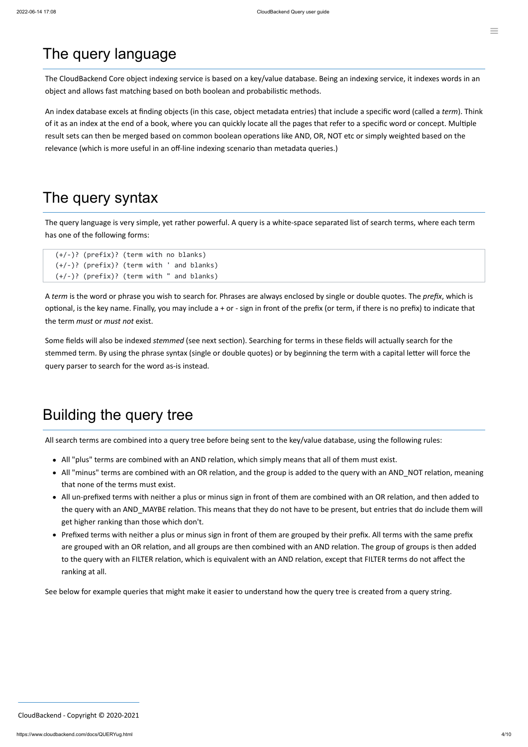# The query language

The CloudBackend Core object indexing service is based on a key/value database. Being an indexing service, it indexes words in an object and allows fast matching based on both boolean and probabilistic methods.

An index database excels at finding objects (in this case, object metadata entries) that include a specific word (called a *term*). Think of it as an index at the end of a book, where you can quickly locate all the pages that refer to a specific word or concept. Multiple result sets can then be merged based on common boolean operations like AND, OR, NOT etc or simply weighted based on the relevance (which is more useful in an off-line indexing scenario than metadata queries.)

# The query syntax

The query language is very simple, yet rather powerful. A query is a white-space separated list of search terms, where each term has one of the following forms:

```
(+/-)? (prefix)? (term with no blanks)
(+/-)? (prefix)? (term with ' and blanks)
(+/-)? (prefix)? (term with " and blanks)
```
A *term* is the word or phrase you wish to search for. Phrases are always enclosed by single or double quotes. The *prefix*, which is optional, is the key name. Finally, you may include a + or - sign in front of the prefix (or term, if there is no prefix) to indicate that the term *must* or *must not* exist.

Some fields will also be indexed *stemmed* (see next section). Searching for terms in these fields will actually search for the stemmed term. By using the phrase syntax (single or double quotes) or by beginning the term with a capital letter will force the query parser to search for the word as-is instead.

# Building the query tree

All search terms are combined into a query tree before being sent to the key/value database, using the following rules:

- All "plus" terms are combined with an AND relation, which simply means that all of them must exist.
- All "minus" terms are combined with an OR relation, and the group is added to the query with an AND\_NOT relation, meaning that none of the terms must exist.
- All un-prefixed terms with neither a plus or minus sign in front of them are combined with an OR relation, and then added to the query with an AND\_MAYBE relation. This means that they do not have to be present, but entries that do include them will get higher ranking than those which don't.
- Prefixed terms with neither a plus or minus sign in front of them are grouped by their prefix. All terms with the same prefix are grouped with an OR relation, and all groups are then combined with an AND relation. The group of groups is then added to the query with an FILTER relation, which is equivalent with an AND relation, except that FILTER terms do not affect the

#### ranking at all.

See below for example queries that might make it easier to understand how the query tree is created from a query string.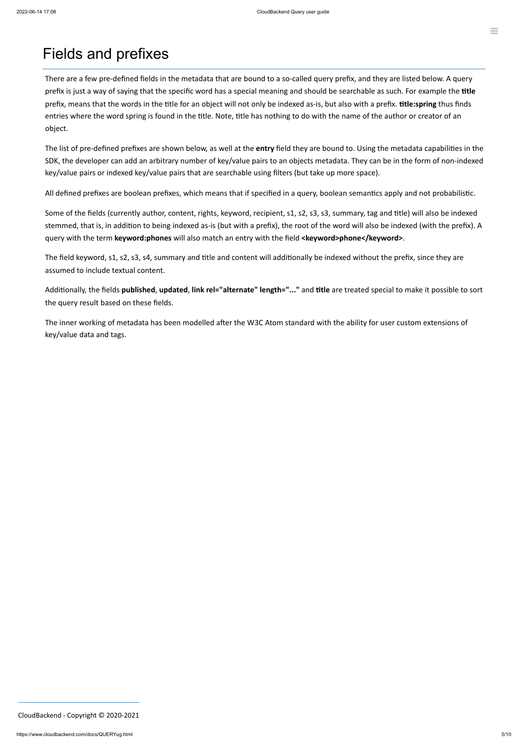### Fields and prefixes

There are a few pre-defined fields in the metadata that are bound to a so-called query prefix, and they are listed below. A query prefix is just a way of saying that the specific word has a special meaning and should be searchable as such. For example the **title** prefix, means that the words in the title for an object will not only be indexed as-is, but also with a prefix. **title:spring** thus finds entries where the word spring is found in the title. Note, title has nothing to do with the name of the author or creator of an object.

Some of the fields (currently author, content, rights, keyword, recipient, s1, s2, s3, s3, summary, tag and title) will also be indexed stemmed, that is, in addition to being indexed as-is (but with a prefix), the root of the word will also be indexed (with the prefix). A query with the term **keyword:phones** will also match an entry with the field **<keyword>phone</keyword>**.

The list of pre-defined prefixes are shown below, as well at the **entry** field they are bound to. Using the metadata capabilities in the SDK, the developer can add an arbitrary number of key/value pairs to an objects metadata. They can be in the form of non-indexed key/value pairs or indexed key/value pairs that are searchable using filters (but take up more space).

All defined prefixes are boolean prefixes, which means that if specified in a query, boolean semantics apply and not probabilistic.

The field keyword, s1, s2, s3, s4, summary and title and content will additionally be indexed without the prefix, since they are assumed to include textual content.

Additionally, the fields **published**, **updated**, **link rel="alternate" length="..."** and **title** are treated special to make it possible to sort the query result based on these fields.

The inner working of metadata has been modelled after the W3C Atom standard with the ability for user custom extensions of key/value data and tags.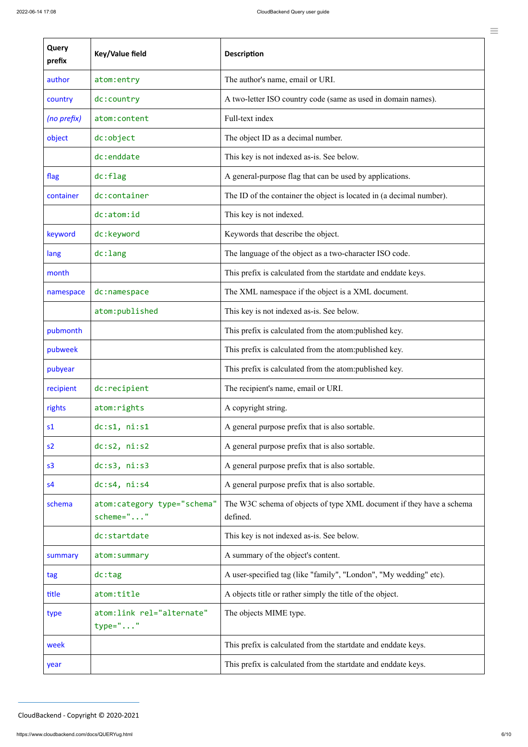| e as used in domain names).    |  |
|--------------------------------|--|
|                                |  |
|                                |  |
| low.                           |  |
| sed by applications.           |  |
| located in (a decimal number). |  |
|                                |  |
|                                |  |
| character ISO code.            |  |
| artdate and enddate keys.      |  |
| s a XML document.              |  |
| low.                           |  |
| om:published key.              |  |
| om:published key.              |  |
| om:published key.              |  |

**Query prefix**

**Key/Value field Description** 

author atom: entry The author's name, email or URI.

| country        | dc:country                                | A two-letter ISO country code (same as used in domain names).                    |
|----------------|-------------------------------------------|----------------------------------------------------------------------------------|
| (no prefix)    | atom: content                             | Full-text index                                                                  |
| object         | dc:object                                 | The object ID as a decimal number.                                               |
|                | dc:enddate                                | This key is not indexed as-is. See below.                                        |
| flag           | dc:flag                                   | A general-purpose flag that can be used by applications.                         |
| container      | dc:container                              | The ID of the container the object is located in (a decimal number).             |
|                | dc:atom:id                                | This key is not indexed.                                                         |
| keyword        | dc:keyword                                | Keywords that describe the object.                                               |
| lang           | $dc:$ lang                                | The language of the object as a two-character ISO code.                          |
| month          |                                           | This prefix is calculated from the startdate and enddate keys.                   |
| namespace      | dc:namespace                              | The XML namespace if the object is a XML document.                               |
|                | atom: published                           | This key is not indexed as-is. See below.                                        |
| pubmonth       |                                           | This prefix is calculated from the atom: published key.                          |
| pubweek        |                                           | This prefix is calculated from the atom:published key.                           |
| pubyear        |                                           | This prefix is calculated from the atom: published key.                          |
| recipient      | dc:recipient                              | The recipient's name, email or URI.                                              |
| rights         | atom: rights                              | A copyright string.                                                              |
| s <sub>1</sub> | dc:s1, ni:s1                              | A general purpose prefix that is also sortable.                                  |
| s2             | dc: s2, ni: s2                            | A general purpose prefix that is also sortable.                                  |
| s <sub>3</sub> | dc: s3, ni: s3                            | A general purpose prefix that is also sortable.                                  |
| s <sub>4</sub> | dc: s4, ni: s4                            | A general purpose prefix that is also sortable.                                  |
| schema         | atom: category type="schema"<br>scheme="" | The W3C schema of objects of type XML document if they have a schema<br>defined. |
|                | dc:startdate                              | This key is not indexed as-is. See below.                                        |
| summary        | atom: summary                             | A summary of the object's content.                                               |
| tag            | dc:tag                                    | A user-specified tag (like "family", "London", "My wedding" etc).                |
| title          | atom:title                                | A objects title or rather simply the title of the object.                        |
| type           | atom: link rel="alternate"<br>$type="$ "  | The objects MIME type.                                                           |
| week           |                                           | This prefix is calculated from the startdate and enddate keys.                   |
| year           |                                           | This prefix is calculated from the startdate and enddate keys.                   |

 $\equiv$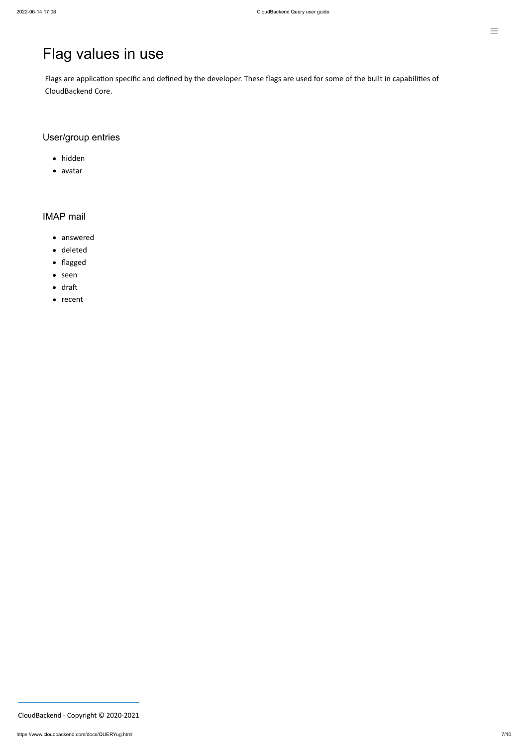# Flag values in use

- hidden
- avatar

- answered
- deleted
- flagged
- seen
- draft
- recent

Flags are application specific and defined by the developer. These flags are used for some of the built in capabilities of CloudBackend Core.

### User/group entries

#### IMAP mail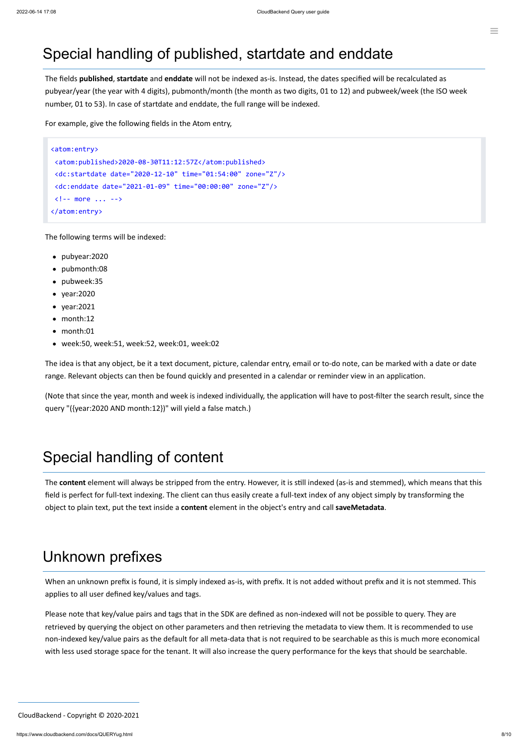#### $\equiv$

# Special handling of published, startdate and enddate

The fields **published**, **startdate** and **enddate** will not be indexed as-is. Instead, the dates specified will be recalculated as pubyear/year (the year with 4 digits), pubmonth/month (the month as two digits, 01 to 12) and pubweek/week (the ISO week number, 01 to 53). In case of startdate and enddate, the full range will be indexed.

For example, give the following fields in the Atom entry,

```
<atom:entry>
<atom:published>2020-08-30T11:12:57Z</atom:published>
<dc:startdate date="2020-12-10" time="01:54:00" zone="Z"/>
<dc:enddate date="2021-01-09" time="00:00:00" zone="Z"/>
<!-- more ... -->
</atom:entry>
```
The following terms will be indexed:

- pubyear:2020
- pubmonth:08
- pubweek:35
- year:2020
- year:2021
- month:12
- month:01
- week:50, week:51, week:52, week:01, week:02

The idea is that any object, be it a text document, picture, calendar entry, email or to-do note, can be marked with a date or date range. Relevant objects can then be found quickly and presented in a calendar or reminder view in an application.

(Note that since the year, month and week is indexed individually, the application will have to post-filter the search result, since the query "({year:2020 AND month:12})" will yield a false match.)

# Special handling of content

The **content** element will always be stripped from the entry. However, it is still indexed (as-is and stemmed), which means that this field is perfect for full-text indexing. The client can thus easily create a full-text index of any object simply by transforming the object to plain text, put the text inside a **content** element in the object's entry and call **saveMetadata**.

### Unknown prefixes

When an unknown prefix is found, it is simply indexed as-is, with prefix. It is not added without prefix and it is not stemmed. This applies to all user defined key/values and tags.

Please note that key/value pairs and tags that in the SDK are defined as non-indexed will not be possible to query. They are retrieved by querying the object on other parameters and then retrieving the metadata to view them. It is recommended to use non-indexed key/value pairs as the default for all meta-data that is not required to be searchable as this is much more economical with less used storage space for the tenant. It will also increase the query performance for the keys that should be searchable.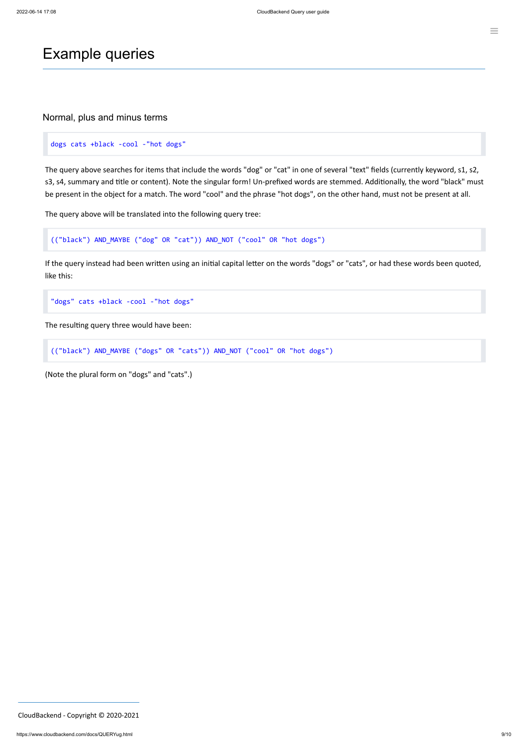### Example queries

Normal, plus and minus terms

#### dogs cats +black -cool -"hot dogs"

The query above searches for items that include the words "dog" or "cat" in one of several "text" fields (currently keyword, s1, s2, s3, s4, summary and title or content). Note the singular form! Un-prefixed words are stemmed. Additionally, the word "black" must be present in the object for a match. The word "cool" and the phrase "hot dogs", on the other hand, must not be present at all.

The query above will be translated into the following query tree:

(("black") AND\_MAYBE ("dog" OR "cat")) AND\_NOT ("cool" OR "hot dogs")

If the query instead had been written using an initial capital letter on the words "dogs" or "cats", or had these words been quoted, like this:

"dogs" cats +black -cool -"hot dogs"

The resulting query three would have been:

```
(("black") AND_MAYBE ("dogs" OR "cats")) AND_NOT ("cool" OR "hot dogs")
```
(Note the plural form on "dogs" and "cats".)